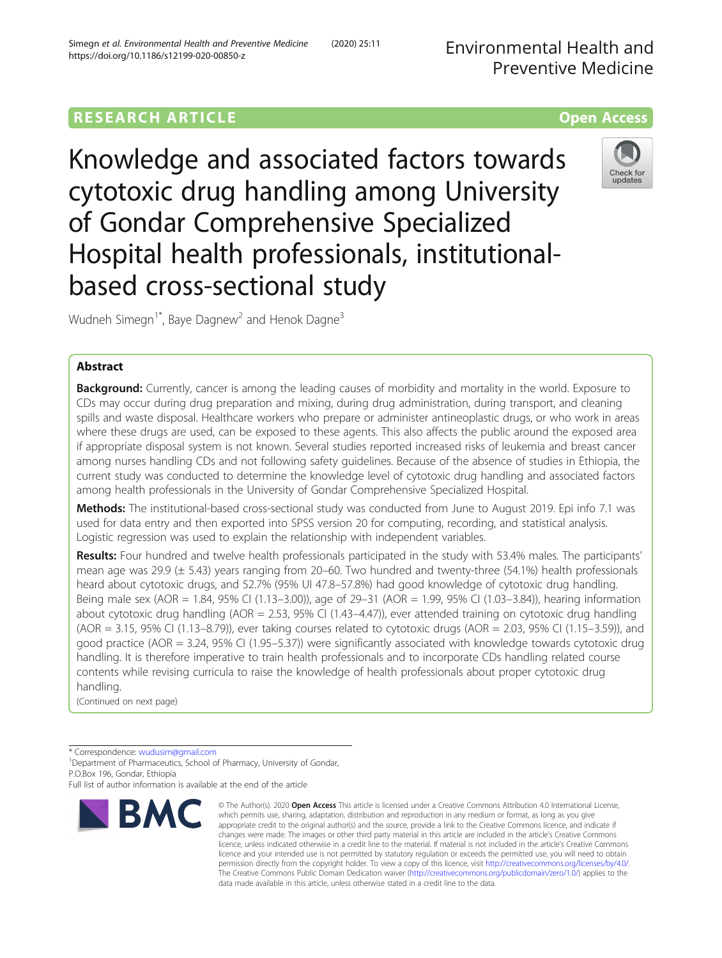# **RESEARCH ARTICLE Example 2014 12:30 The Contract of Contract ACCESS**

Knowledge and associated factors towards cytotoxic drug handling among University of Gondar Comprehensive Specialized Hospital health professionals, institutionalbased cross-sectional study



Wudneh Simegn<sup>1\*</sup>, Baye Dagnew<sup>2</sup> and Henok Dagne<sup>3</sup>

## Abstract

**Background:** Currently, cancer is among the leading causes of morbidity and mortality in the world. Exposure to CDs may occur during drug preparation and mixing, during drug administration, during transport, and cleaning spills and waste disposal. Healthcare workers who prepare or administer antineoplastic drugs, or who work in areas where these drugs are used, can be exposed to these agents. This also affects the public around the exposed area if appropriate disposal system is not known. Several studies reported increased risks of leukemia and breast cancer among nurses handling CDs and not following safety guidelines. Because of the absence of studies in Ethiopia, the current study was conducted to determine the knowledge level of cytotoxic drug handling and associated factors among health professionals in the University of Gondar Comprehensive Specialized Hospital.

Methods: The institutional-based cross-sectional study was conducted from June to August 2019. Epi info 7.1 was used for data entry and then exported into SPSS version 20 for computing, recording, and statistical analysis. Logistic regression was used to explain the relationship with independent variables.

Results: Four hundred and twelve health professionals participated in the study with 53.4% males. The participants' mean age was 29.9 ( $\pm$  5.43) years ranging from 20–60. Two hundred and twenty-three (54.1%) health professionals heard about cytotoxic drugs, and 52.7% (95% UI 47.8–57.8%) had good knowledge of cytotoxic drug handling. Being male sex (AOR = 1.84, 95% CI (1.13–3.00)), age of 29–31 (AOR = 1.99, 95% CI (1.03–3.84)), hearing information about cytotoxic drug handling (AOR = 2.53, 95% CI (1.43–4.47)), ever attended training on cytotoxic drug handling (AOR = 3.15, 95% CI (1.13–8.79)), ever taking courses related to cytotoxic drugs (AOR = 2.03, 95% CI (1.15–3.59)), and good practice (AOR = 3.24, 95% CI (1.95–5.37)) were significantly associated with knowledge towards cytotoxic drug handling. It is therefore imperative to train health professionals and to incorporate CDs handling related course contents while revising curricula to raise the knowledge of health professionals about proper cytotoxic drug handling.

(Continued on next page)

\* Correspondence: [wudusim@gmail.com](mailto:wudusim@gmail.com) <sup>1</sup>

<sup>1</sup>Department of Pharmaceutics, School of Pharmacy, University of Gondar, P.O.Box 196, Gondar, Ethiopia

Full list of author information is available at the end of the article



<sup>©</sup> The Author(s), 2020 **Open Access** This article is licensed under a Creative Commons Attribution 4.0 International License, which permits use, sharing, adaptation, distribution and reproduction in any medium or format, as long as you give appropriate credit to the original author(s) and the source, provide a link to the Creative Commons licence, and indicate if changes were made. The images or other third party material in this article are included in the article's Creative Commons licence, unless indicated otherwise in a credit line to the material. If material is not included in the article's Creative Commons licence and your intended use is not permitted by statutory regulation or exceeds the permitted use, you will need to obtain permission directly from the copyright holder. To view a copy of this licence, visit [http://creativecommons.org/licenses/by/4.0/.](http://creativecommons.org/licenses/by/4.0/) The Creative Commons Public Domain Dedication waiver [\(http://creativecommons.org/publicdomain/zero/1.0/](http://creativecommons.org/publicdomain/zero/1.0/)) applies to the data made available in this article, unless otherwise stated in a credit line to the data.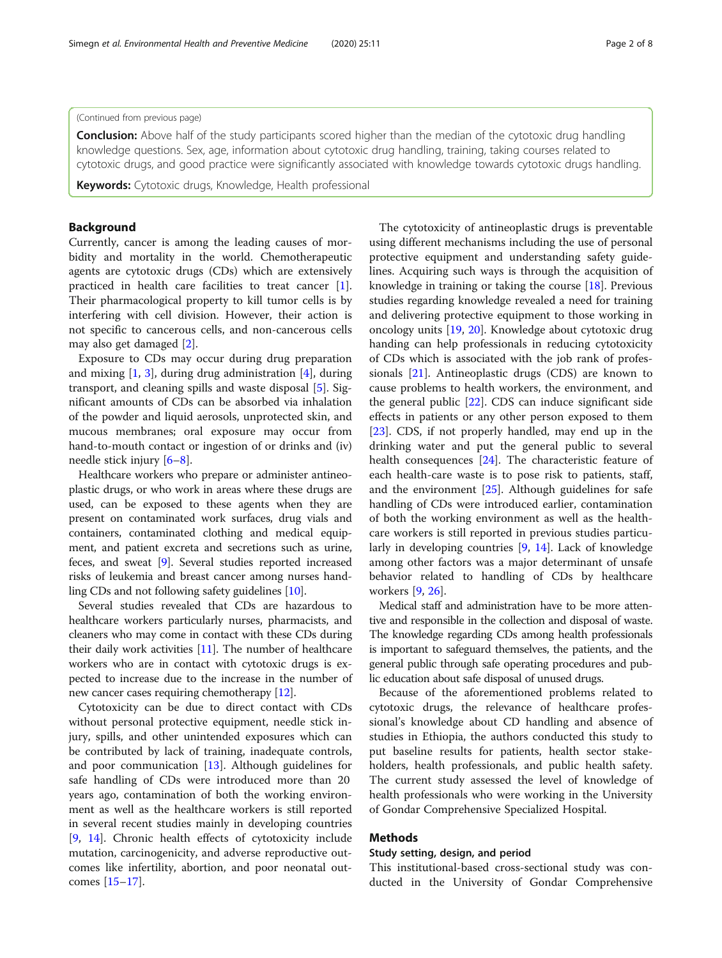## (Continued from previous page)

**Conclusion:** Above half of the study participants scored higher than the median of the cytotoxic drug handling knowledge questions. Sex, age, information about cytotoxic drug handling, training, taking courses related to cytotoxic drugs, and good practice were significantly associated with knowledge towards cytotoxic drugs handling.

Keywords: Cytotoxic drugs, Knowledge, Health professional

## Background

Currently, cancer is among the leading causes of morbidity and mortality in the world. Chemotherapeutic agents are cytotoxic drugs (CDs) which are extensively practiced in health care facilities to treat cancer [\[1](#page-7-0)]. Their pharmacological property to kill tumor cells is by interfering with cell division. However, their action is not specific to cancerous cells, and non-cancerous cells may also get damaged [\[2](#page-7-0)].

Exposure to CDs may occur during drug preparation and mixing  $[1, 3]$  $[1, 3]$  $[1, 3]$  $[1, 3]$ , during drug administration  $[4]$  $[4]$ , during transport, and cleaning spills and waste disposal [\[5](#page-7-0)]. Significant amounts of CDs can be absorbed via inhalation of the powder and liquid aerosols, unprotected skin, and mucous membranes; oral exposure may occur from hand-to-mouth contact or ingestion of or drinks and (iv) needle stick injury [[6](#page-7-0)–[8](#page-7-0)].

Healthcare workers who prepare or administer antineoplastic drugs, or who work in areas where these drugs are used, can be exposed to these agents when they are present on contaminated work surfaces, drug vials and containers, contaminated clothing and medical equipment, and patient excreta and secretions such as urine, feces, and sweat [\[9\]](#page-7-0). Several studies reported increased risks of leukemia and breast cancer among nurses handling CDs and not following safety guidelines [\[10\]](#page-7-0).

Several studies revealed that CDs are hazardous to healthcare workers particularly nurses, pharmacists, and cleaners who may come in contact with these CDs during their daily work activities [[11](#page-7-0)]. The number of healthcare workers who are in contact with cytotoxic drugs is expected to increase due to the increase in the number of new cancer cases requiring chemotherapy [\[12](#page-7-0)].

Cytotoxicity can be due to direct contact with CDs without personal protective equipment, needle stick injury, spills, and other unintended exposures which can be contributed by lack of training, inadequate controls, and poor communication  $[13]$  $[13]$ . Although guidelines for safe handling of CDs were introduced more than 20 years ago, contamination of both the working environment as well as the healthcare workers is still reported in several recent studies mainly in developing countries [[9,](#page-7-0) [14](#page-7-0)]. Chronic health effects of cytotoxicity include mutation, carcinogenicity, and adverse reproductive outcomes like infertility, abortion, and poor neonatal outcomes [[15](#page-7-0)–[17](#page-7-0)].

The cytotoxicity of antineoplastic drugs is preventable using different mechanisms including the use of personal protective equipment and understanding safety guidelines. Acquiring such ways is through the acquisition of knowledge in training or taking the course [[18](#page-7-0)]. Previous studies regarding knowledge revealed a need for training and delivering protective equipment to those working in oncology units [\[19](#page-7-0), [20](#page-7-0)]. Knowledge about cytotoxic drug handing can help professionals in reducing cytotoxicity of CDs which is associated with the job rank of professionals [\[21\]](#page-7-0). Antineoplastic drugs (CDS) are known to cause problems to health workers, the environment, and the general public [[22\]](#page-7-0). CDS can induce significant side effects in patients or any other person exposed to them [[23\]](#page-7-0). CDS, if not properly handled, may end up in the drinking water and put the general public to several health consequences [\[24](#page-7-0)]. The characteristic feature of each health-care waste is to pose risk to patients, staff, and the environment [\[25](#page-7-0)]. Although guidelines for safe handling of CDs were introduced earlier, contamination of both the working environment as well as the healthcare workers is still reported in previous studies particularly in developing countries [\[9](#page-7-0), [14](#page-7-0)]. Lack of knowledge among other factors was a major determinant of unsafe behavior related to handling of CDs by healthcare workers [\[9](#page-7-0), [26](#page-7-0)].

Medical staff and administration have to be more attentive and responsible in the collection and disposal of waste. The knowledge regarding CDs among health professionals is important to safeguard themselves, the patients, and the general public through safe operating procedures and public education about safe disposal of unused drugs.

Because of the aforementioned problems related to cytotoxic drugs, the relevance of healthcare professional's knowledge about CD handling and absence of studies in Ethiopia, the authors conducted this study to put baseline results for patients, health sector stakeholders, health professionals, and public health safety. The current study assessed the level of knowledge of health professionals who were working in the University of Gondar Comprehensive Specialized Hospital.

#### Methods

#### Study setting, design, and period

This institutional-based cross-sectional study was conducted in the University of Gondar Comprehensive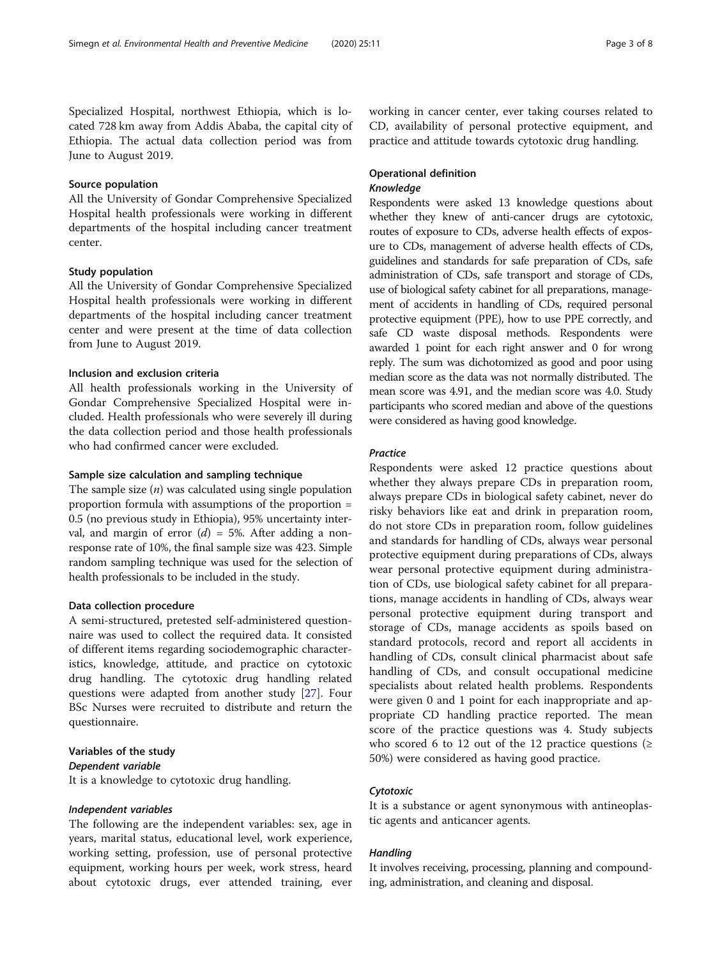Specialized Hospital, northwest Ethiopia, which is located 728 km away from Addis Ababa, the capital city of Ethiopia. The actual data collection period was from June to August 2019.

## Source population

All the University of Gondar Comprehensive Specialized Hospital health professionals were working in different departments of the hospital including cancer treatment center.

## Study population

All the University of Gondar Comprehensive Specialized Hospital health professionals were working in different departments of the hospital including cancer treatment center and were present at the time of data collection from June to August 2019.

## Inclusion and exclusion criteria

All health professionals working in the University of Gondar Comprehensive Specialized Hospital were included. Health professionals who were severely ill during the data collection period and those health professionals who had confirmed cancer were excluded.

#### Sample size calculation and sampling technique

The sample size  $(n)$  was calculated using single population proportion formula with assumptions of the proportion = 0.5 (no previous study in Ethiopia), 95% uncertainty interval, and margin of error  $(d) = 5\%$ . After adding a nonresponse rate of 10%, the final sample size was 423. Simple random sampling technique was used for the selection of health professionals to be included in the study.

#### Data collection procedure

A semi-structured, pretested self-administered questionnaire was used to collect the required data. It consisted of different items regarding sociodemographic characteristics, knowledge, attitude, and practice on cytotoxic drug handling. The cytotoxic drug handling related questions were adapted from another study [\[27](#page-7-0)]. Four BSc Nurses were recruited to distribute and return the questionnaire.

## Variables of the study Dependent variable

It is a knowledge to cytotoxic drug handling.

#### Independent variables

The following are the independent variables: sex, age in years, marital status, educational level, work experience, working setting, profession, use of personal protective equipment, working hours per week, work stress, heard about cytotoxic drugs, ever attended training, ever working in cancer center, ever taking courses related to CD, availability of personal protective equipment, and practice and attitude towards cytotoxic drug handling.

## Operational definition Knowledge

Respondents were asked 13 knowledge questions about whether they knew of anti-cancer drugs are cytotoxic, routes of exposure to CDs, adverse health effects of exposure to CDs, management of adverse health effects of CDs, guidelines and standards for safe preparation of CDs, safe administration of CDs, safe transport and storage of CDs, use of biological safety cabinet for all preparations, management of accidents in handling of CDs, required personal protective equipment (PPE), how to use PPE correctly, and safe CD waste disposal methods. Respondents were awarded 1 point for each right answer and 0 for wrong reply. The sum was dichotomized as good and poor using median score as the data was not normally distributed. The mean score was 4.91, and the median score was 4.0. Study participants who scored median and above of the questions were considered as having good knowledge.

### **Practice**

Respondents were asked 12 practice questions about whether they always prepare CDs in preparation room, always prepare CDs in biological safety cabinet, never do risky behaviors like eat and drink in preparation room, do not store CDs in preparation room, follow guidelines and standards for handling of CDs, always wear personal protective equipment during preparations of CDs, always wear personal protective equipment during administration of CDs, use biological safety cabinet for all preparations, manage accidents in handling of CDs, always wear personal protective equipment during transport and storage of CDs, manage accidents as spoils based on standard protocols, record and report all accidents in handling of CDs, consult clinical pharmacist about safe handling of CDs, and consult occupational medicine specialists about related health problems. Respondents were given 0 and 1 point for each inappropriate and appropriate CD handling practice reported. The mean score of the practice questions was 4. Study subjects who scored 6 to 12 out of the 12 practice questions ( $\geq$ 50%) were considered as having good practice.

## Cytotoxic

It is a substance or agent synonymous with antineoplastic agents and anticancer agents.

#### Handling

It involves receiving, processing, planning and compounding, administration, and cleaning and disposal.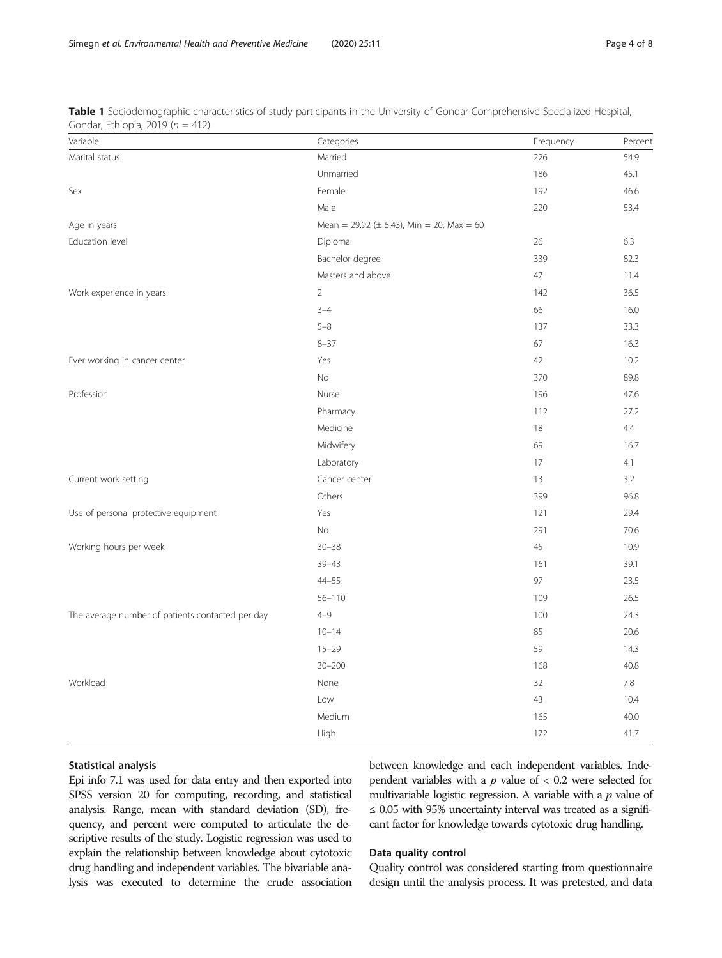| Variable                                         | Categories                                          | Frequency | Percent |  |  |
|--------------------------------------------------|-----------------------------------------------------|-----------|---------|--|--|
| Marital status                                   | Married                                             | 226       | 54.9    |  |  |
|                                                  | Unmarried                                           | 186       | 45.1    |  |  |
| Sex                                              | Female                                              | 192       | 46.6    |  |  |
|                                                  | Male                                                | 220       | 53.4    |  |  |
| Age in years                                     | Mean = $29.92 \ (\pm 5.43)$ , Min = $20$ , Max = 60 |           |         |  |  |
| Education level                                  | Diploma                                             | 26        | 6.3     |  |  |
|                                                  | Bachelor degree                                     | 339       | 82.3    |  |  |
|                                                  | Masters and above                                   | 47        | 11.4    |  |  |
| Work experience in years                         | $\overline{2}$                                      | 142       | 36.5    |  |  |
|                                                  | $3 - 4$                                             | 66        | 16.0    |  |  |
|                                                  | $5 - 8$                                             | 137       | 33.3    |  |  |
|                                                  | $8 - 37$                                            | 67        | 16.3    |  |  |
| Ever working in cancer center                    | Yes                                                 | 42        | 10.2    |  |  |
|                                                  | No                                                  | 370       | 89.8    |  |  |
| Profession                                       | Nurse                                               | 196       | 47.6    |  |  |
|                                                  | Pharmacy                                            | 112       | 27.2    |  |  |
|                                                  | Medicine                                            | 18        | 4.4     |  |  |
|                                                  | Midwifery                                           | 69        | 16.7    |  |  |
|                                                  | Laboratory                                          | 17        | 4.1     |  |  |
| Current work setting                             | Cancer center                                       | 13        | 3.2     |  |  |
|                                                  | Others                                              | 399       | 96.8    |  |  |
| Use of personal protective equipment             | Yes                                                 | 121       | 29.4    |  |  |
|                                                  | No                                                  | 291       | 70.6    |  |  |
| Working hours per week                           | $30 - 38$                                           | 45        | 10.9    |  |  |
|                                                  | $39 - 43$                                           | 161       | 39.1    |  |  |
|                                                  | $44 - 55$                                           | 97        | 23.5    |  |  |
|                                                  | $56 - 110$                                          | 109       | 26.5    |  |  |
| The average number of patients contacted per day | $4 - 9$                                             | 100       | 24.3    |  |  |
|                                                  | $10 - 14$                                           | 85        | 20.6    |  |  |
|                                                  | $15 - 29$                                           | 59        | 14.3    |  |  |
|                                                  | $30 - 200$                                          | 168       | 40.8    |  |  |
| Workload                                         | None                                                | 32        | 7.8     |  |  |
|                                                  | Low                                                 | 43        | 10.4    |  |  |
|                                                  | Medium                                              | 165       | 40.0    |  |  |
|                                                  | High                                                | 172       | 41.7    |  |  |

<span id="page-3-0"></span>Table 1 Sociodemographic characteristics of study participants in the University of Gondar Comprehensive Specialized Hospital, Gondar, Ethiopia, 2019 ( $n = 412$ )

## Statistical analysis

Epi info 7.1 was used for data entry and then exported into SPSS version 20 for computing, recording, and statistical analysis. Range, mean with standard deviation (SD), frequency, and percent were computed to articulate the descriptive results of the study. Logistic regression was used to explain the relationship between knowledge about cytotoxic drug handling and independent variables. The bivariable analysis was executed to determine the crude association between knowledge and each independent variables. Independent variables with a  $p$  value of  $< 0.2$  were selected for multivariable logistic regression. A variable with a  $p$  value of ≤ 0.05 with 95% uncertainty interval was treated as a significant factor for knowledge towards cytotoxic drug handling.

## Data quality control

Quality control was considered starting from questionnaire design until the analysis process. It was pretested, and data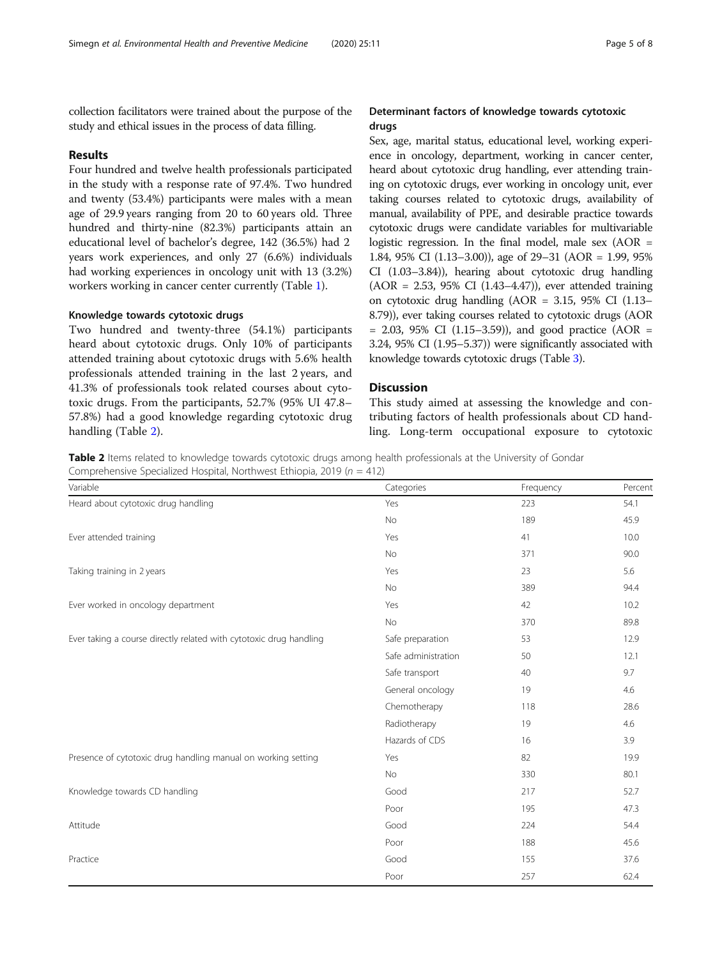collection facilitators were trained about the purpose of the study and ethical issues in the process of data filling.

## Results

Four hundred and twelve health professionals participated in the study with a response rate of 97.4%. Two hundred and twenty (53.4%) participants were males with a mean age of 29.9 years ranging from 20 to 60 years old. Three hundred and thirty-nine (82.3%) participants attain an educational level of bachelor's degree, 142 (36.5%) had 2 years work experiences, and only 27 (6.6%) individuals had working experiences in oncology unit with 13 (3.2%) workers working in cancer center currently (Table [1](#page-3-0)).

## Knowledge towards cytotoxic drugs

Two hundred and twenty-three (54.1%) participants heard about cytotoxic drugs. Only 10% of participants attended training about cytotoxic drugs with 5.6% health professionals attended training in the last 2 years, and 41.3% of professionals took related courses about cytotoxic drugs. From the participants, 52.7% (95% UI 47.8– 57.8%) had a good knowledge regarding cytotoxic drug handling (Table 2).

## Determinant factors of knowledge towards cytotoxic drugs

Sex, age, marital status, educational level, working experience in oncology, department, working in cancer center, heard about cytotoxic drug handling, ever attending training on cytotoxic drugs, ever working in oncology unit, ever taking courses related to cytotoxic drugs, availability of manual, availability of PPE, and desirable practice towards cytotoxic drugs were candidate variables for multivariable logistic regression. In the final model, male sex  $(AOR =$ 1.84, 95% CI (1.13–3.00)), age of 29–31 (AOR = 1.99, 95% CI (1.03–3.84)), hearing about cytotoxic drug handling (AOR = 2.53, 95% CI (1.43–4.47)), ever attended training on cytotoxic drug handling (AOR = 3.15, 95% CI (1.13– 8.79)), ever taking courses related to cytotoxic drugs (AOR  $= 2.03, 95\% \text{ CI } (1.15-3.59)$ , and good practice (AOR  $=$ 3.24, 95% CI (1.95–5.37)) were significantly associated with knowledge towards cytotoxic drugs (Table [3\)](#page-5-0).

## **Discussion**

This study aimed at assessing the knowledge and contributing factors of health professionals about CD handling. Long-term occupational exposure to cytotoxic

Table 2 Items related to knowledge towards cytotoxic drugs among health professionals at the University of Gondar Comprehensive Specialized Hospital, Northwest Ethiopia, 2019 ( $n = 412$ )

| Variable                                                           | Categories          | Frequency | Percent |
|--------------------------------------------------------------------|---------------------|-----------|---------|
| Heard about cytotoxic drug handling                                | Yes                 | 223       | 54.1    |
|                                                                    | No                  | 189       | 45.9    |
| Ever attended training                                             | Yes                 | 41        | 10.0    |
|                                                                    | No                  | 371       | 90.0    |
| Taking training in 2 years                                         | Yes                 | 23        | 5.6     |
|                                                                    | No                  | 389       | 94.4    |
| Ever worked in oncology department                                 | Yes                 | 42        | 10.2    |
|                                                                    | <b>No</b>           | 370       | 89.8    |
| Ever taking a course directly related with cytotoxic drug handling | Safe preparation    | 53        | 12.9    |
|                                                                    | Safe administration | 50        | 12.1    |
|                                                                    | Safe transport      | 40        | 9.7     |
|                                                                    | General oncology    | 19        | 4.6     |
|                                                                    | Chemotherapy        | 118       | 28.6    |
|                                                                    | Radiotherapy        | 19        | 4.6     |
|                                                                    | Hazards of CDS      | 16        | 3.9     |
| Presence of cytotoxic drug handling manual on working setting      | Yes                 | 82        | 19.9    |
|                                                                    | No                  | 330       | 80.1    |
| Knowledge towards CD handling                                      | Good                | 217       | 52.7    |
|                                                                    | Poor                | 195       | 47.3    |
| Attitude                                                           | Good                | 224       | 54.4    |
|                                                                    | Poor                | 188       | 45.6    |
| Practice                                                           | Good                | 155       | 37.6    |
|                                                                    | Poor                | 257       | 62.4    |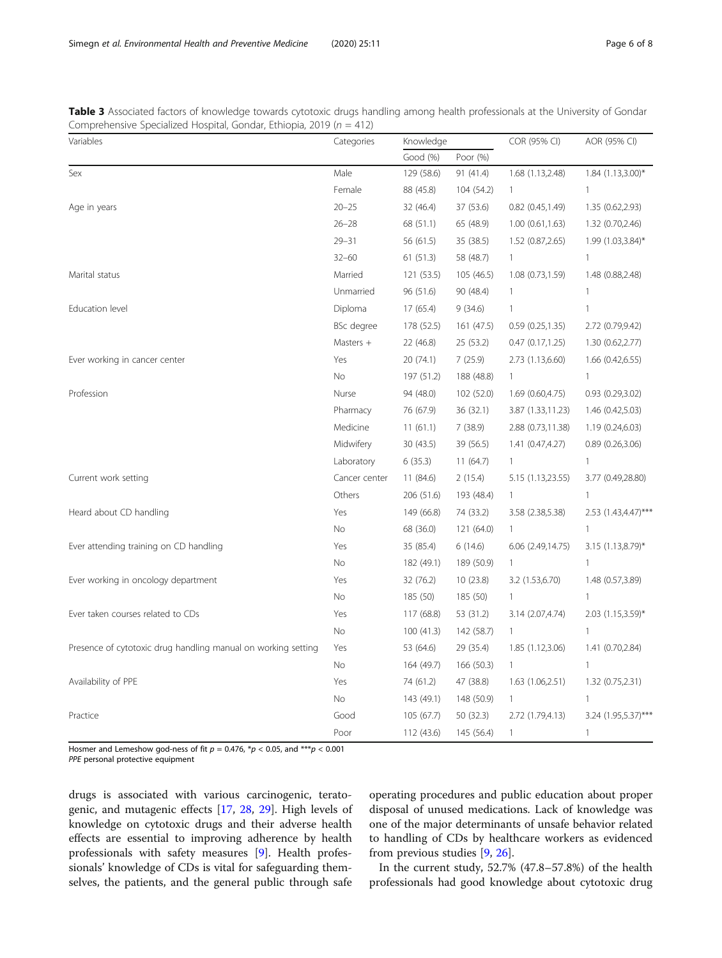<span id="page-5-0"></span>Table 3 Associated factors of knowledge towards cytotoxic drugs handling among health professionals at the University of Gondar Comprehensive Specialized Hospital, Gondar, Ethiopia, 2019 ( $n = 412$ )

| Variables                                                     | Categories    | Knowledge  |            | COR (95% CI)          | AOR (95% CI)        |
|---------------------------------------------------------------|---------------|------------|------------|-----------------------|---------------------|
|                                                               |               | Good (%)   | Poor (%)   |                       |                     |
| Sex                                                           | Male          | 129 (58.6) | 91 (41.4)  | 1.68 (1.13,2.48)      | $1.84$ (1.13,3.00)* |
|                                                               | Female        | 88 (45.8)  | 104 (54.2) | $\mathbf{1}$          | 1                   |
| Age in years                                                  | $20 - 25$     | 32 (46.4)  | 37 (53.6)  | $0.82$ $(0.45, 1.49)$ | 1.35 (0.62,2.93)    |
|                                                               | $26 - 28$     | 68 (51.1)  | 65 (48.9)  | 1.00(0.61, 1.63)      | 1.32 (0.70,2.46)    |
|                                                               | $29 - 31$     | 56 (61.5)  | 35 (38.5)  | 1.52 (0.87,2.65)      | 1.99 (1.03,3.84)*   |
|                                                               | $32 - 60$     | 61(51.3)   | 58 (48.7)  | $\mathbf{1}$          | 1                   |
| Marital status                                                | Married       | 121 (53.5) | 105 (46.5) | 1.08 (0.73,1.59)      | 1.48 (0.88,2.48)    |
|                                                               | Unmarried     | 96 (51.6)  | 90 (48.4)  | $\mathbf{1}$          | $\mathbf{1}$        |
| Education level                                               | Diploma       | 17(65.4)   | 9(34.6)    | $\mathbf{1}$          | $\mathbf{1}$        |
|                                                               | BSc degree    | 178 (52.5) | 161 (47.5) | 0.59(0.25, 1.35)      | 2.72 (0.79,9.42)    |
|                                                               | Masters $+$   | 22 (46.8)  | 25 (53.2)  | 0.47(0.17,1.25)       | 1.30 (0.62,2.77)    |
| Ever working in cancer center                                 | Yes           | 20 (74.1)  | 7(25.9)    | 2.73 (1.13,6.60)      | 1.66(0.42, 6.55)    |
|                                                               | No.           | 197 (51.2) | 188 (48.8) | $\mathbf{1}$          | $\mathbf{1}$        |
| Profession                                                    | Nurse         | 94 (48.0)  | 102 (52.0) | 1.69 (0.60,4.75)      | 0.93(0.29, 3.02)    |
|                                                               | Pharmacy      | 76 (67.9)  | 36 (32.1)  | 3.87 (1.33,11.23)     | 1.46 (0.42,5.03)    |
|                                                               | Medicine      | 11(61.1)   | 7(38.9)    | 2.88 (0.73,11.38)     | 1.19 (0.24,6.03)    |
|                                                               | Midwifery     | 30 (43.5)  | 39 (56.5)  | 1.41 (0.47,4.27)      | 0.89 (0.26,3.06)    |
|                                                               | Laboratory    | 6(35.3)    | 11(64.7)   | $\mathbf{1}$          | $\mathbf{1}$        |
| Current work setting                                          | Cancer center | 11 (84.6)  | 2(15.4)    | 5.15 (1.13,23.55)     | 3.77 (0.49,28.80)   |
|                                                               | Others        | 206 (51.6) | 193 (48.4) | $\mathbf{1}$          | $\mathbf{1}$        |
| Heard about CD handling                                       | Yes           | 149 (66.8) | 74 (33.2)  | 3.58 (2.38,5.38)      | 2.53 (1.43,4.47)*** |
|                                                               | <b>No</b>     | 68 (36.0)  | 121 (64.0) | $\mathbf{1}$          | 1                   |
| Ever attending training on CD handling                        | Yes           | 35 (85.4)  | 6(14.6)    | 6.06 (2.49,14.75)     | $3.15$ (1.13,8.79)* |
|                                                               | No.           | 182 (49.1) | 189 (50.9) | $\mathbf{1}$          | 1                   |
| Ever working in oncology department                           | Yes           | 32 (76.2)  | 10(23.8)   | 3.2 (1.53,6.70)       | 1.48 (0.57,3.89)    |
|                                                               | No            | 185 (50)   | 185 (50)   | $\mathbf{1}$          | $\mathbf{1}$        |
| Ever taken courses related to CDs                             | Yes           | 117 (68.8) | 53 (31.2)  | 3.14 (2.07,4.74)      | 2.03 (1.15,3.59)*   |
|                                                               | No            | 100 (41.3) | 142 (58.7) | $\mathbf{1}$          | $\mathbf{1}$        |
| Presence of cytotoxic drug handling manual on working setting | Yes           | 53 (64.6)  | 29 (35.4)  | 1.85 (1.12,3.06)      | 1.41 (0.70,2.84)    |
|                                                               | No            | 164 (49.7) | 166 (50.3) | $\mathbf{1}$          | 1                   |
| Availability of PPE                                           | Yes           | 74 (61.2)  | 47 (38.8)  | 1.63(1.06,2.51)       | 1.32 (0.75,2.31)    |
|                                                               | <b>No</b>     | 143 (49.1) | 148 (50.9) | $\mathbf{1}$          | 1                   |
| Practice                                                      | Good          | 105(67.7)  | 50 (32.3)  | 2.72 (1.79,4.13)      | 3.24 (1.95,5.37)*** |
|                                                               | Poor          | 112 (43.6) | 145 (56.4) | $\mathbf{1}$          | $\mathbf{1}$        |

Hosmer and Lemeshow god-ness of fit  $p = 0.476$ ,  $p < 0.05$ , and  $***p < 0.001$ PPE personal protective equipment

drugs is associated with various carcinogenic, teratogenic, and mutagenic effects [\[17,](#page-7-0) [28,](#page-7-0) [29](#page-7-0)]. High levels of knowledge on cytotoxic drugs and their adverse health effects are essential to improving adherence by health professionals with safety measures [\[9](#page-7-0)]. Health professionals' knowledge of CDs is vital for safeguarding themselves, the patients, and the general public through safe

operating procedures and public education about proper disposal of unused medications. Lack of knowledge was one of the major determinants of unsafe behavior related to handling of CDs by healthcare workers as evidenced from previous studies [\[9](#page-7-0), [26](#page-7-0)].

In the current study, 52.7% (47.8–57.8%) of the health professionals had good knowledge about cytotoxic drug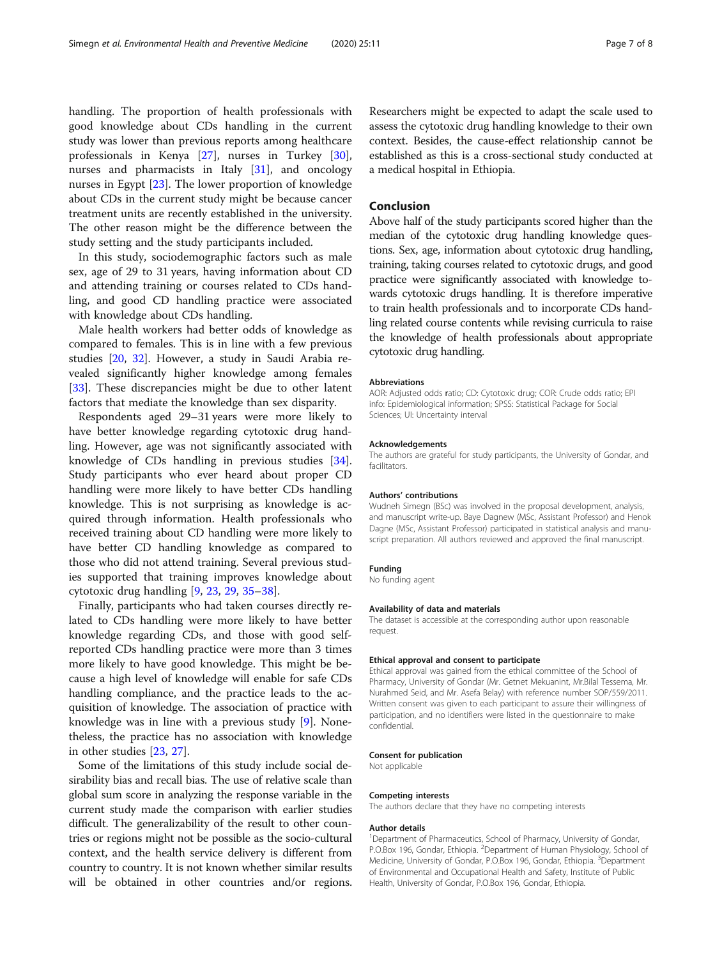handling. The proportion of health professionals with good knowledge about CDs handling in the current study was lower than previous reports among healthcare professionals in Kenya [\[27\]](#page-7-0), nurses in Turkey [\[30](#page-7-0)], nurses and pharmacists in Italy [[31\]](#page-7-0), and oncology nurses in Egypt [\[23\]](#page-7-0). The lower proportion of knowledge about CDs in the current study might be because cancer treatment units are recently established in the university. The other reason might be the difference between the study setting and the study participants included.

In this study, sociodemographic factors such as male sex, age of 29 to 31 years, having information about CD and attending training or courses related to CDs handling, and good CD handling practice were associated with knowledge about CDs handling.

Male health workers had better odds of knowledge as compared to females. This is in line with a few previous studies [[20,](#page-7-0) [32\]](#page-7-0). However, a study in Saudi Arabia revealed significantly higher knowledge among females [[33\]](#page-7-0). These discrepancies might be due to other latent factors that mediate the knowledge than sex disparity.

Respondents aged 29–31 years were more likely to have better knowledge regarding cytotoxic drug handling. However, age was not significantly associated with knowledge of CDs handling in previous studies [\[34](#page-7-0)]. Study participants who ever heard about proper CD handling were more likely to have better CDs handling knowledge. This is not surprising as knowledge is acquired through information. Health professionals who received training about CD handling were more likely to have better CD handling knowledge as compared to those who did not attend training. Several previous studies supported that training improves knowledge about cytotoxic drug handling [\[9](#page-7-0), [23](#page-7-0), [29](#page-7-0), [35](#page-7-0)–[38\]](#page-7-0).

Finally, participants who had taken courses directly related to CDs handling were more likely to have better knowledge regarding CDs, and those with good selfreported CDs handling practice were more than 3 times more likely to have good knowledge. This might be because a high level of knowledge will enable for safe CDs handling compliance, and the practice leads to the acquisition of knowledge. The association of practice with knowledge was in line with a previous study [[9](#page-7-0)]. Nonetheless, the practice has no association with knowledge in other studies [[23](#page-7-0), [27](#page-7-0)].

Some of the limitations of this study include social desirability bias and recall bias. The use of relative scale than global sum score in analyzing the response variable in the current study made the comparison with earlier studies difficult. The generalizability of the result to other countries or regions might not be possible as the socio-cultural context, and the health service delivery is different from country to country. It is not known whether similar results will be obtained in other countries and/or regions.

Researchers might be expected to adapt the scale used to assess the cytotoxic drug handling knowledge to their own context. Besides, the cause-effect relationship cannot be established as this is a cross-sectional study conducted at a medical hospital in Ethiopia.

## Conclusion

Above half of the study participants scored higher than the median of the cytotoxic drug handling knowledge questions. Sex, age, information about cytotoxic drug handling, training, taking courses related to cytotoxic drugs, and good practice were significantly associated with knowledge towards cytotoxic drugs handling. It is therefore imperative to train health professionals and to incorporate CDs handling related course contents while revising curricula to raise the knowledge of health professionals about appropriate cytotoxic drug handling.

#### Abbreviations

AOR: Adjusted odds ratio; CD: Cytotoxic drug; COR: Crude odds ratio; EPI info: Epidemiological information; SPSS: Statistical Package for Social Sciences; UI: Uncertainty interval

#### Acknowledgements

The authors are grateful for study participants, the University of Gondar, and facilitators.

#### Authors' contributions

Wudneh Simegn (BSc) was involved in the proposal development, analysis, and manuscript write-up. Baye Dagnew (MSc, Assistant Professor) and Henok Dagne (MSc, Assistant Professor) participated in statistical analysis and manuscript preparation. All authors reviewed and approved the final manuscript.

#### Funding

No funding agent

#### Availability of data and materials

The dataset is accessible at the corresponding author upon reasonable request.

#### Ethical approval and consent to participate

Ethical approval was gained from the ethical committee of the School of Pharmacy, University of Gondar (Mr. Getnet Mekuanint, Mr.Bilal Tessema, Mr. Nurahmed Seid, and Mr. Asefa Belay) with reference number SOP/559/2011. Written consent was given to each participant to assure their willingness of participation, and no identifiers were listed in the questionnaire to make confidential.

#### Consent for publication

Not applicable

#### Competing interests

The authors declare that they have no competing interests

#### Author details

<sup>1</sup>Department of Pharmaceutics, School of Pharmacy, University of Gondar P.O.Box 196, Gondar, Ethiopia. <sup>2</sup>Department of Human Physiology, School of Medicine, University of Gondar, P.O.Box 196, Gondar, Ethiopia. <sup>3</sup>Department of Environmental and Occupational Health and Safety, Institute of Public Health, University of Gondar, P.O.Box 196, Gondar, Ethiopia.